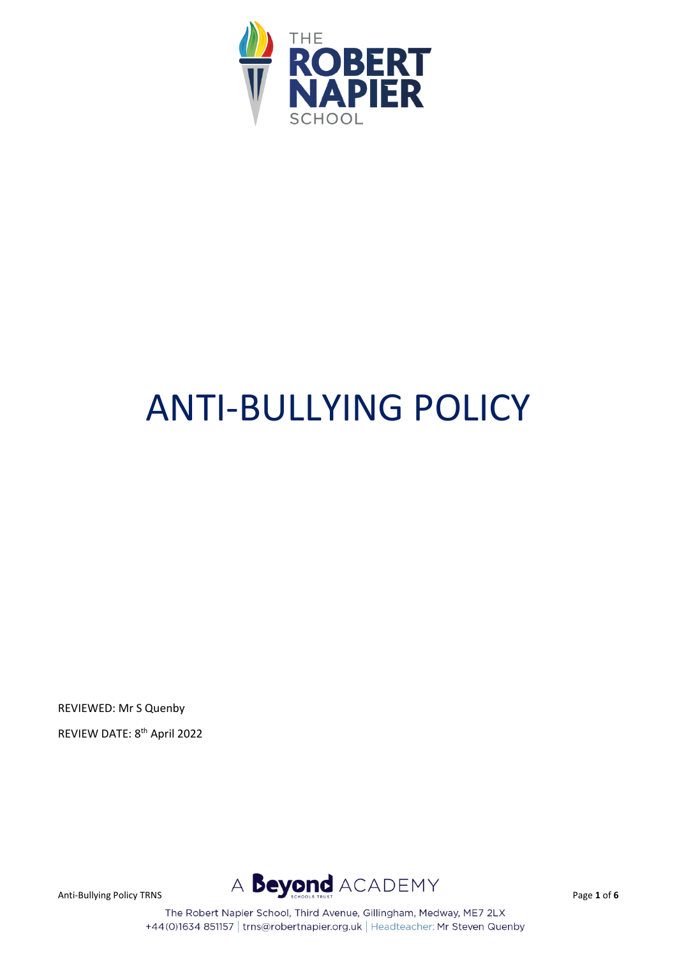

# ANTI-BULLYING POLICY

REVIEWED: Mr S Quenby REVIEW DATE: 8th April 2022



The Robert Napier School, Third Avenue, Gillingham, Medway, ME7 2LX +44(0)1634 851157 | trns@robertnapier.org.uk | Headteacher: Mr Steven Quenby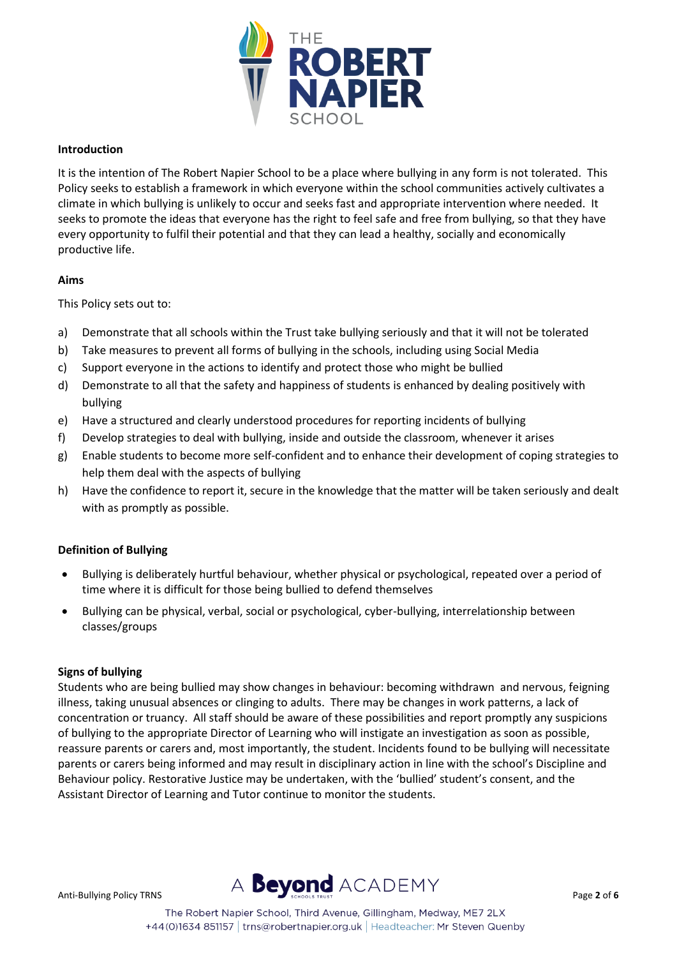

#### **Introduction**

It is the intention of The Robert Napier School to be a place where bullying in any form is not tolerated. This Policy seeks to establish a framework in which everyone within the school communities actively cultivates a climate in which bullying is unlikely to occur and seeks fast and appropriate intervention where needed. It seeks to promote the ideas that everyone has the right to feel safe and free from bullying, so that they have every opportunity to fulfil their potential and that they can lead a healthy, socially and economically productive life.

#### **Aims**

This Policy sets out to:

- a) Demonstrate that all schools within the Trust take bullying seriously and that it will not be tolerated
- b) Take measures to prevent all forms of bullying in the schools, including using Social Media
- c) Support everyone in the actions to identify and protect those who might be bullied
- d) Demonstrate to all that the safety and happiness of students is enhanced by dealing positively with bullying
- e) Have a structured and clearly understood procedures for reporting incidents of bullying
- f) Develop strategies to deal with bullying, inside and outside the classroom, whenever it arises
- g) Enable students to become more self-confident and to enhance their development of coping strategies to help them deal with the aspects of bullying
- h) Have the confidence to report it, secure in the knowledge that the matter will be taken seriously and dealt with as promptly as possible.

# **Definition of Bullying**

- Bullying is deliberately hurtful behaviour, whether physical or psychological, repeated over a period of time where it is difficult for those being bullied to defend themselves
- Bullying can be physical, verbal, social or psychological, cyber-bullying, interrelationship between classes/groups

#### **Signs of bullying**

Students who are being bullied may show changes in behaviour: becoming withdrawn and nervous, feigning illness, taking unusual absences or clinging to adults. There may be changes in work patterns, a lack of concentration or truancy. All staff should be aware of these possibilities and report promptly any suspicions of bullying to the appropriate Director of Learning who will instigate an investigation as soon as possible, reassure parents or carers and, most importantly, the student. Incidents found to be bullying will necessitate parents or carers being informed and may result in disciplinary action in line with the school's Discipline and Behaviour policy. Restorative Justice may be undertaken, with the 'bullied' student's consent, and the Assistant Director of Learning and Tutor continue to monitor the students.

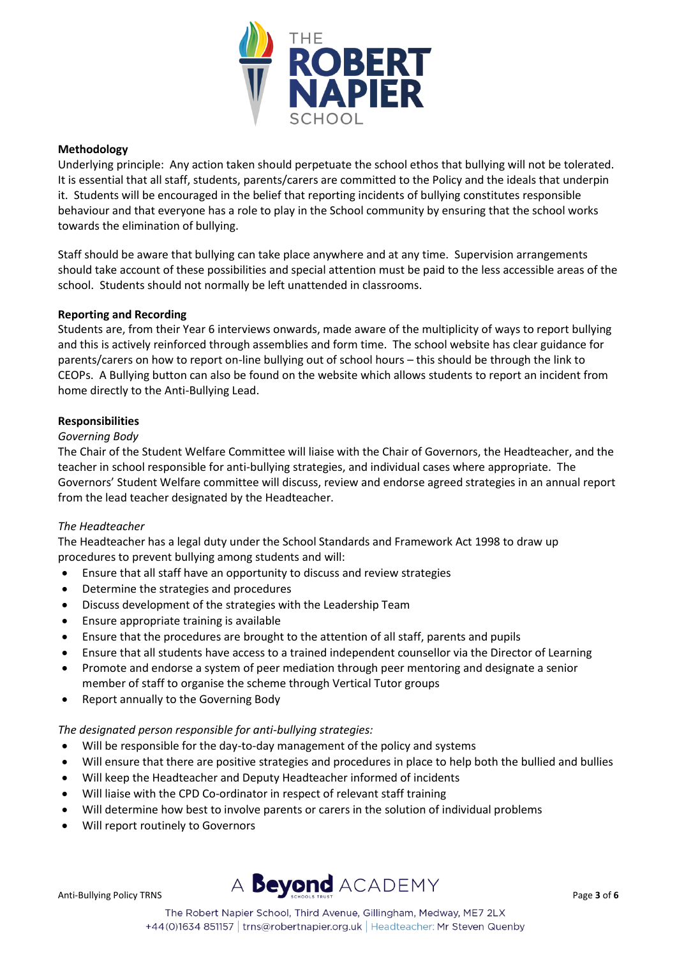

# **Methodology**

Underlying principle: Any action taken should perpetuate the school ethos that bullying will not be tolerated. It is essential that all staff, students, parents/carers are committed to the Policy and the ideals that underpin it. Students will be encouraged in the belief that reporting incidents of bullying constitutes responsible behaviour and that everyone has a role to play in the School community by ensuring that the school works towards the elimination of bullying.

Staff should be aware that bullying can take place anywhere and at any time. Supervision arrangements should take account of these possibilities and special attention must be paid to the less accessible areas of the school. Students should not normally be left unattended in classrooms.

# **Reporting and Recording**

Students are, from their Year 6 interviews onwards, made aware of the multiplicity of ways to report bullying and this is actively reinforced through assemblies and form time. The school website has clear guidance for parents/carers on how to report on-line bullying out of school hours – this should be through the link to CEOPs. A Bullying button can also be found on the website which allows students to report an incident from home directly to the Anti-Bullying Lead.

#### **Responsibilities**

#### *Governing Body*

The Chair of the Student Welfare Committee will liaise with the Chair of Governors, the Headteacher, and the teacher in school responsible for anti-bullying strategies, and individual cases where appropriate. The Governors' Student Welfare committee will discuss, review and endorse agreed strategies in an annual report from the lead teacher designated by the Headteacher.

# *The Headteacher*

The Headteacher has a legal duty under the School Standards and Framework Act 1998 to draw up procedures to prevent bullying among students and will:

- Ensure that all staff have an opportunity to discuss and review strategies
- Determine the strategies and procedures
- Discuss development of the strategies with the Leadership Team
- Ensure appropriate training is available
- Ensure that the procedures are brought to the attention of all staff, parents and pupils
- Ensure that all students have access to a trained independent counsellor via the Director of Learning
- Promote and endorse a system of peer mediation through peer mentoring and designate a senior member of staff to organise the scheme through Vertical Tutor groups
- Report annually to the Governing Body

# *The designated person responsible for anti-bullying strategies:*

- Will be responsible for the day-to-day management of the policy and systems
- Will ensure that there are positive strategies and procedures in place to help both the bullied and bullies
- Will keep the Headteacher and Deputy Headteacher informed of incidents
- Will liaise with the CPD Co-ordinator in respect of relevant staff training
- Will determine how best to involve parents or carers in the solution of individual problems
- Will report routinely to Governors

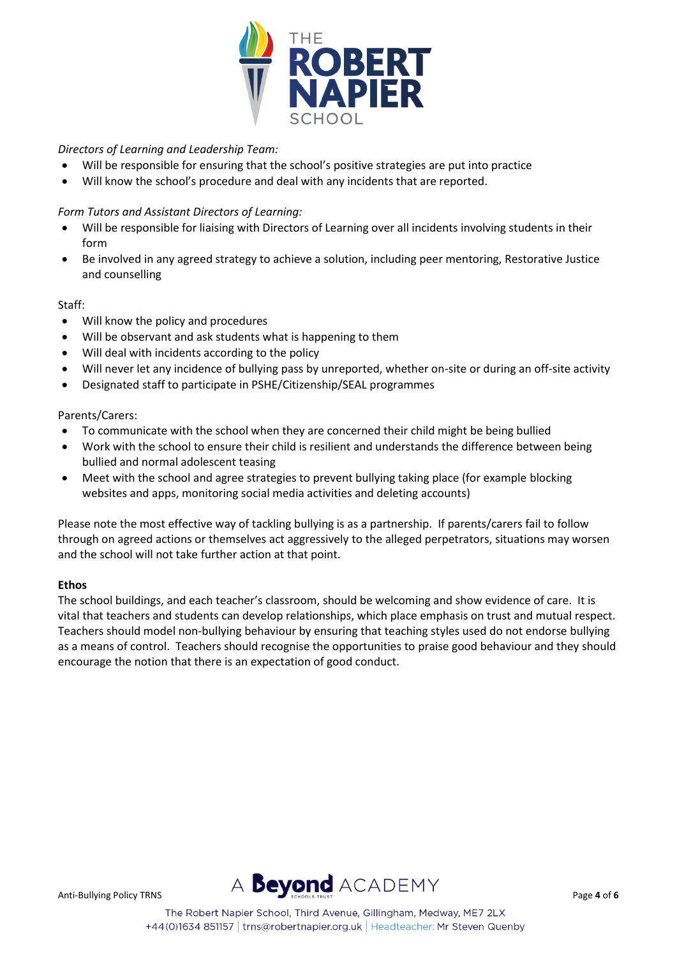

# *Directors of Learning and Leadership Team:*

- Will be responsible for ensuring that the school's positive strategies are put into practice
- Will know the school's procedure and deal with any incidents that are reported.

# *Form Tutors and Assistant Directors of Learning:*

- Will be responsible for liaising with Directors of Learning over all incidents involving students in their form
- Be involved in any agreed strategy to achieve a solution, including peer mentoring, Restorative Justice and counselling

# Staff:

- Will know the policy and procedures
- Will be observant and ask students what is happening to them
- Will deal with incidents according to the policy
- Will never let any incidence of bullying pass by unreported, whether on-site or during an off-site activity
- Designated staff to participate in PSHE/Citizenship/SEAL programmes

# Parents/Carers:

- To communicate with the school when they are concerned their child might be being bullied
- Work with the school to ensure their child is resilient and understands the difference between being bullied and normal adolescent teasing
- Meet with the school and agree strategies to prevent bullying taking place (for example blocking websites and apps, monitoring social media activities and deleting accounts)

Please note the most effective way of tackling bullying is as a partnership. If parents/carers fail to follow through on agreed actions or themselves act aggressively to the alleged perpetrators, situations may worsen and the school will not take further action at that point.

# **Ethos**

The school buildings, and each teacher's classroom, should be welcoming and show evidence of care. It is vital that teachers and students can develop relationships, which place emphasis on trust and mutual respect. Teachers should model non-bullying behaviour by ensuring that teaching styles used do not endorse bullying as a means of control. Teachers should recognise the opportunities to praise good behaviour and they should encourage the notion that there is an expectation of good conduct.

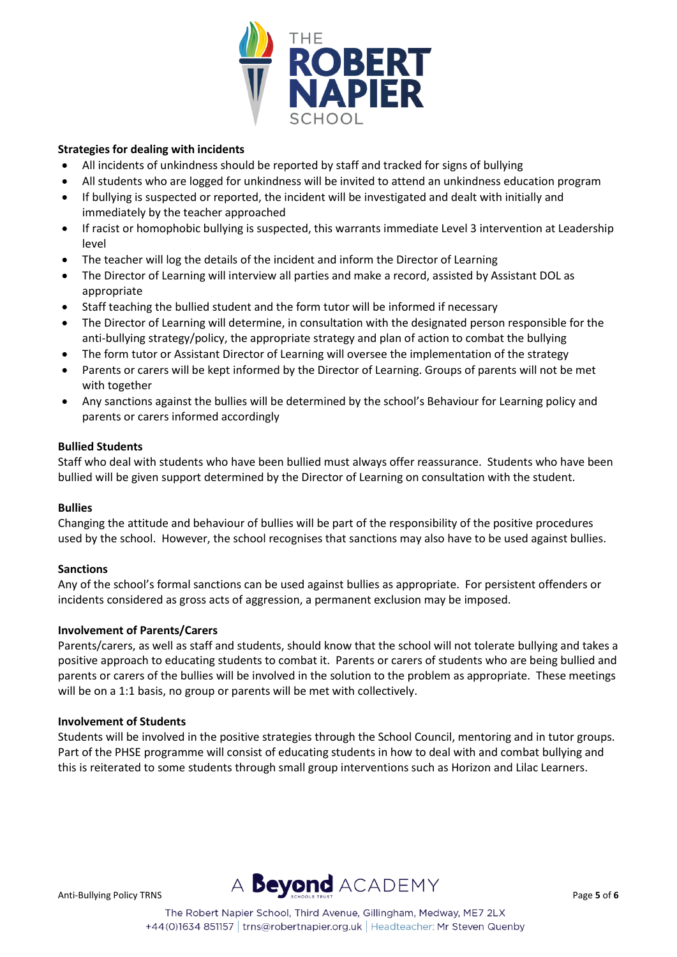

# **Strategies for dealing with incidents**

- All incidents of unkindness should be reported by staff and tracked for signs of bullying
- All students who are logged for unkindness will be invited to attend an unkindness education program
- If bullying is suspected or reported, the incident will be investigated and dealt with initially and immediately by the teacher approached
- If racist or homophobic bullying is suspected, this warrants immediate Level 3 intervention at Leadership level
- The teacher will log the details of the incident and inform the Director of Learning
- The Director of Learning will interview all parties and make a record, assisted by Assistant DOL as appropriate
- Staff teaching the bullied student and the form tutor will be informed if necessary
- The Director of Learning will determine, in consultation with the designated person responsible for the anti-bullying strategy/policy, the appropriate strategy and plan of action to combat the bullying
- The form tutor or Assistant Director of Learning will oversee the implementation of the strategy
- Parents or carers will be kept informed by the Director of Learning. Groups of parents will not be met with together
- Any sanctions against the bullies will be determined by the school's Behaviour for Learning policy and parents or carers informed accordingly

# **Bullied Students**

Staff who deal with students who have been bullied must always offer reassurance. Students who have been bullied will be given support determined by the Director of Learning on consultation with the student.

# **Bullies**

Changing the attitude and behaviour of bullies will be part of the responsibility of the positive procedures used by the school. However, the school recognises that sanctions may also have to be used against bullies.

#### **Sanctions**

Any of the school's formal sanctions can be used against bullies as appropriate. For persistent offenders or incidents considered as gross acts of aggression, a permanent exclusion may be imposed.

#### **Involvement of Parents/Carers**

Parents/carers, as well as staff and students, should know that the school will not tolerate bullying and takes a positive approach to educating students to combat it. Parents or carers of students who are being bullied and parents or carers of the bullies will be involved in the solution to the problem as appropriate. These meetings will be on a 1:1 basis, no group or parents will be met with collectively.

#### **Involvement of Students**

Students will be involved in the positive strategies through the School Council, mentoring and in tutor groups. Part of the PHSE programme will consist of educating students in how to deal with and combat bullying and this is reiterated to some students through small group interventions such as Horizon and Lilac Learners.